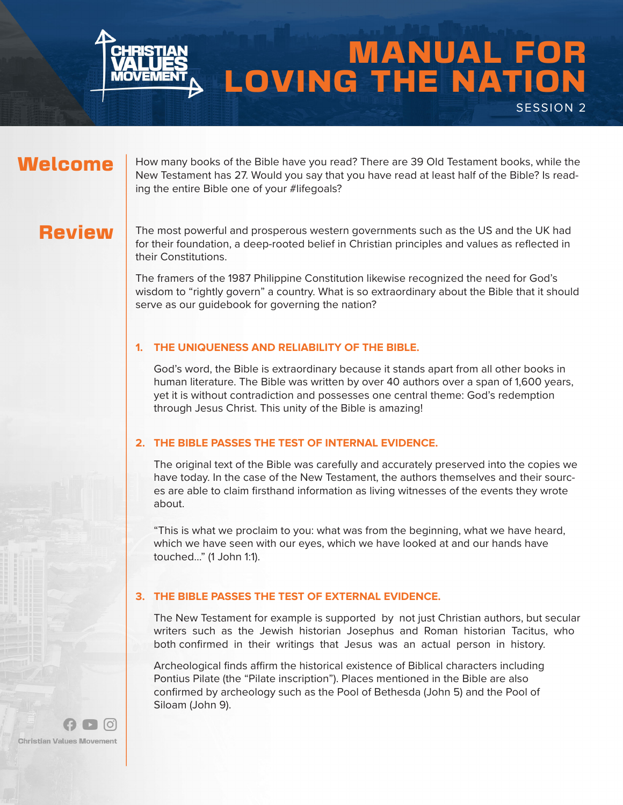

# MANUAL FOR LOVING THE NATION SESSION 2

## Welcome

How many books of the Bible have you read? There are 39 Old Testament books, while the New Testament has 27. Would you say that you have read at least half of the Bible? Is reading the entire Bible one of your #lifegoals?

## **Review**

The most powerful and prosperous western governments such as the US and the UK had for their foundation, a deep-rooted belief in Christian principles and values as reflected in their Constitutions.

The framers of the 1987 Philippine Constitution likewise recognized the need for God's wisdom to "rightly govern" a country. What is so extraordinary about the Bible that it should serve as our guidebook for governing the nation?

#### **1. THE UNIQUENESS AND RELIABILITY OF THE BIBLE.**

God's word, the Bible is extraordinary because it stands apart from all other books in human literature. The Bible was written by over 40 authors over a span of 1,600 years, yet it is without contradiction and possesses one central theme: God's redemption through Jesus Christ. This unity of the Bible is amazing!

#### **2. THE BIBLE PASSES THE TEST OF INTERNAL EVIDENCE.**

The original text of the Bible was carefully and accurately preserved into the copies we have today. In the case of the New Testament, the authors themselves and their sources are able to claim firsthand information as living witnesses of the events they wrote about.

"This is what we proclaim to you: what was from the beginning, what we have heard, which we have seen with our eyes, which we have looked at and our hands have touched…" (1 John 1:1).

#### **3. THE BIBLE PASSES THE TEST OF EXTERNAL EVIDENCE.**

The New Testament for example is supported by not just Christian authors, but secular writers such as the Jewish historian Josephus and Roman historian Tacitus, who both confirmed in their writings that Jesus was an actual person in history.

Archeological finds affirm the historical existence of Biblical characters including Pontius Pilate (the "Pilate inscription"). Places mentioned in the Bible are also confirmed by archeology such as the Pool of Bethesda (John 5) and the Pool of Siloam (John 9).

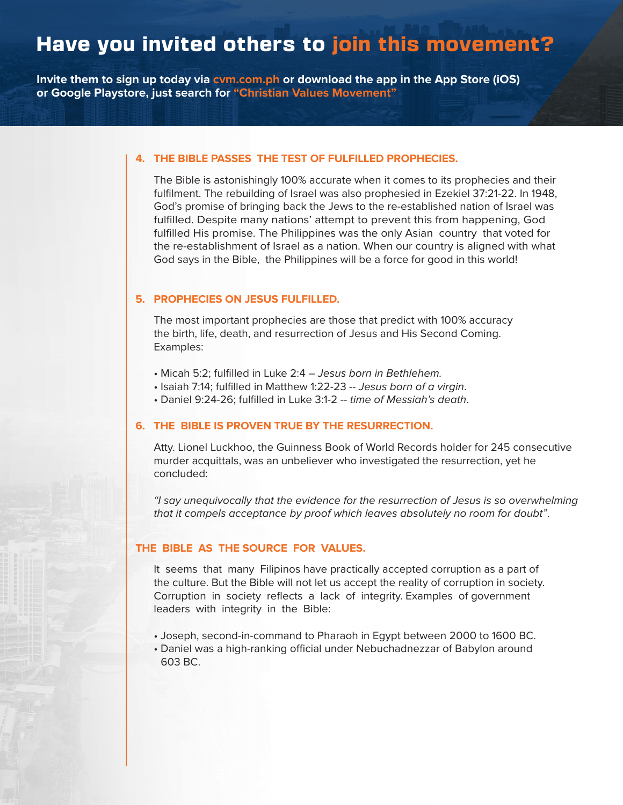## Have you invited others to join this movement?

**Invite them to sign up today via cvm.com.ph or download the app in the App Store (iOS) or Google Playstore, just search for "Christian Values Movement"**

#### **4. THE BIBLE PASSES THE TEST OF FULFILLED PROPHECIES.**

The Bible is astonishingly 100% accurate when it comes to its prophecies and their fulfilment. The rebuilding of Israel was also prophesied in Ezekiel 37:21-22. In 1948, God's promise of bringing back the Jews to the re-established nation of Israel was fulfilled. Despite many nations' attempt to prevent this from happening, God fulfilled His promise. The Philippines was the only Asian country that voted for the re-establishment of Israel as a nation. When our country is aligned with what God says in the Bible, the Philippines will be a force for good in this world!

#### **5. PROPHECIES ON JESUS FULFILLED.**

The most important prophecies are those that predict with 100% accuracy the birth, life, death, and resurrection of Jesus and His Second Coming. Examples:

- Micah 5:2; fulfilled in Luke 2:4 Jesus born in Bethlehem.
- Isaiah 7:14; fulfilled in Matthew 1:22-23 -- Jesus born of a virgin.
- Daniel 9:24-26; fulfilled in Luke 3:1-2 -- time of Messiah's death.

#### **6. THE BIBLE IS PROVEN TRUE BY THE RESURRECTION.**

Atty. Lionel Luckhoo, the Guinness Book of World Records holder for 245 consecutive murder acquittals, was an unbeliever who investigated the resurrection, yet he concluded:

"I say unequivocally that the evidence for the resurrection of Jesus is so overwhelming that it compels acceptance by proof which leaves absolutely no room for doubt".

#### **THE BIBLE AS THE SOURCE FOR VALUES.**

It seems that many Filipinos have practically accepted corruption as a part of the culture. But the Bible will not let us accept the reality of corruption in society. Corruption in society reflects a lack of integrity. Examples of government leaders with integrity in the Bible:

- Joseph, second-in-command to Pharaoh in Egypt between 2000 to 1600 BC.
- Daniel was a high-ranking official under Nebuchadnezzar of Babylon around 603 BC.